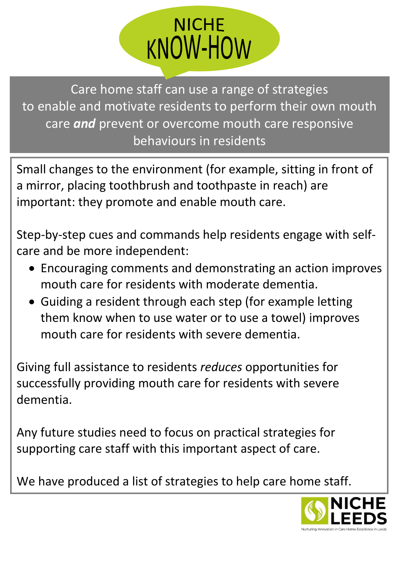

Care home staff can use a range of strategies to enable and motivate residents to perform their own mouth care *and* prevent or overcome mouth care responsive behaviours in residents

Small changes to the environment (for example, sitting in front of a mirror, placing toothbrush and toothpaste in reach) are important: they promote and enable mouth care.

Step-by-step cues and commands help residents engage with selfcare and be more independent:

- Encouraging comments and demonstrating an action improves mouth care for residents with moderate dementia.
- Guiding a resident through each step (for example letting them know when to use water or to use a towel) improves mouth care for residents with severe dementia.

Giving full assistance to residents *reduces* opportunities for successfully providing mouth care for residents with severe dementia.

Any future studies need to focus on practical strategies for supporting care staff with this important aspect of care.

We have produced a list of strategies to help care home staff.

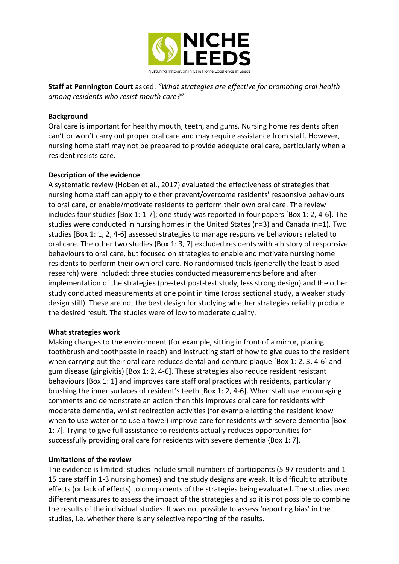

**Staff at Pennington Court** asked: *"What strategies are effective for promoting oral health among residents who resist mouth care?"*

#### **Background**

Oral care is important for healthy mouth, teeth, and gums. Nursing home residents often can't or won't carry out proper oral care and may require assistance from staff. However, nursing home staff may not be prepared to provide adequate oral care, particularly when a resident resists care.

## **Description of the evidence**

A systematic review (Hoben et al., 2017) evaluated the effectiveness of strategies that nursing home staff can apply to either prevent/overcome residents' responsive behaviours to oral care, or enable/motivate residents to perform their own oral care. The review includes four studies [Box 1: 1-7]; one study was reported in four papers [Box 1: 2, 4-6]. The studies were conducted in nursing homes in the United States (n=3) and Canada (n=1). Two studies [Box 1: 1, 2, 4-6] assessed strategies to manage responsive behaviours related to oral care. The other two studies {Box 1: 3, 7] excluded residents with a history of responsive behaviours to oral care, but focused on strategies to enable and motivate nursing home residents to perform their own oral care. No randomised trials (generally the least biased research) were included: three studies conducted measurements before and after implementation of the strategies (pre-test post-test study, less strong design) and the other study conducted measurements at one point in time (cross sectional study, a weaker study design still). These are not the best design for studying whether strategies reliably produce the desired result. The studies were of low to moderate quality.

#### **What strategies work**

Making changes to the environment (for example, sitting in front of a mirror, placing toothbrush and toothpaste in reach) and instructing staff of how to give cues to the resident when carrying out their oral care reduces dental and denture plaque [Box 1: 2, 3, 4-6] and gum disease (gingivitis) [Box 1: 2, 4-6]. These strategies also reduce resident resistant behaviours [Box 1: 1] and improves care staff oral practices with residents, particularly brushing the inner surfaces of resident's teeth [Box 1: 2, 4-6]. When staff use encouraging comments and demonstrate an action then this improves oral care for residents with moderate dementia, whilst redirection activities (for example letting the resident know when to use water or to use a towel) improve care for residents with severe dementia [Box 1: 7]. Trying to give full assistance to residents actually reduces opportunities for successfully providing oral care for residents with severe dementia {Box 1: 7].

#### **Limitations of the review**

The evidence is limited: studies include small numbers of participants (5-97 residents and 1- 15 care staff in 1-3 nursing homes) and the study designs are weak. It is difficult to attribute effects (or lack of effects) to components of the strategies being evaluated. The studies used different measures to assess the impact of the strategies and so it is not possible to combine the results of the individual studies. It was not possible to assess 'reporting bias' in the studies, i.e. whether there is any selective reporting of the results.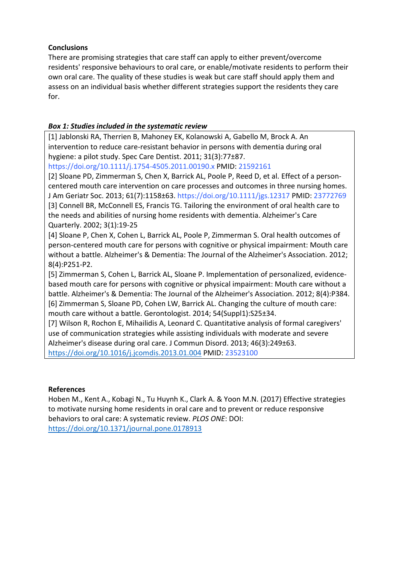# **Conclusions**

There are promising strategies that care staff can apply to either prevent/overcome residents' responsive behaviours to oral care, or enable/motivate residents to perform their own oral care. The quality of these studies is weak but care staff should apply them and assess on an individual basis whether different strategies support the residents they care for.

# *Box 1: Studies included in the systematic review*

[1] Jablonski RA, Therrien B, Mahoney EK, Kolanowski A, Gabello M, Brock A. An intervention to reduce care-resistant behavior in persons with dementia during oral hygiene: a pilot study. Spec Care Dentist. 2011; 31(3):77±87.

https://doi.org/10.1111/j.1754-4505.2011.00190.x PMID: 21592161

[2] Sloane PD, Zimmerman S, Chen X, Barrick AL, Poole P, Reed D, et al. Effect of a personcentered mouth care intervention on care processes and outcomes in three nursing homes. J Am Geriatr Soc. 2013; 61(7):1158±63. https://doi.org/10.1111/jgs.12317 PMID: 23772769 [3] Connell BR, McConnell ES, Francis TG. Tailoring the environment of oral health care to the needs and abilities of nursing home residents with dementia. Alzheimer's Care Quarterly. 2002; 3(1):19-25

[4] Sloane P, Chen X, Cohen L, Barrick AL, Poole P, Zimmerman S. Oral health outcomes of person-centered mouth care for persons with cognitive or physical impairment: Mouth care without a battle. Alzheimer's & Dementia: The Journal of the Alzheimer's Association. 2012; 8(4):P251-P2.

[5] Zimmerman S, Cohen L, Barrick AL, Sloane P. Implementation of personalized, evidencebased mouth care for persons with cognitive or physical impairment: Mouth care without a battle. Alzheimer's & Dementia: The Journal of the Alzheimer's Association. 2012; 8(4):P384. [6] Zimmerman S, Sloane PD, Cohen LW, Barrick AL. Changing the culture of mouth care: mouth care without a battle. Gerontologist. 2014; 54(Suppl1):S25±34.

[7] Wilson R, Rochon E, Mihailidis A, Leonard C. Quantitative analysis of formal caregivers' use of communication strategies while assisting individuals with moderate and severe Alzheimer's disease during oral care. J Commun Disord. 2013; 46(3):249±63. <https://doi.org/10.1016/j.jcomdis.2013.01.004> PMID: 23523100

## **References**

Hoben M., Kent A., Kobagi N., Tu Huynh K., Clark A. & Yoon M.N. (2017) Effective strategies to motivate nursing home residents in oral care and to prevent or reduce responsive behaviors to oral care: A systematic review. *PLOS ONE*: DOI: <https://doi.org/10.1371/journal.pone.0178913>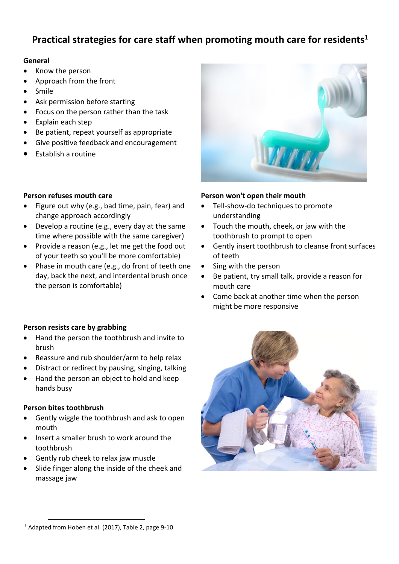# **Practical strategies for care staff when promoting mouth care for residents<sup>1</sup>**

#### **General**

- Know the person
- Approach from the front
- Smile
- Ask permission before starting
- Focus on the person rather than the task
- Explain each step
- Be patient, repeat yourself as appropriate
- Give positive feedback and encouragement
- Establish a routine

# **Person refuses mouth care**

- Figure out why (e.g., bad time, pain, fear) and change approach accordingly
- Develop a routine (e.g., every day at the same time where possible with the same caregiver)
- Provide a reason (e.g., let me get the food out of your teeth so you'll be more comfortable)
- Phase in mouth care (e.g., do front of teeth one day, back the next, and interdental brush once the person is comfortable)

# **Person resists care by grabbing**

- Hand the person the toothbrush and invite to brush
- Reassure and rub shoulder/arm to help relax
- Distract or redirect by pausing, singing, talking
- Hand the person an object to hold and keep hands busy

## **Person bites toothbrush**

- Gently wiggle the toothbrush and ask to open mouth
- Insert a smaller brush to work around the toothbrush
- Gently rub cheek to relax jaw muscle
- Slide finger along the inside of the cheek and massage jaw



## **Person won't open their mouth**

- Tell-show-do techniques to promote understanding
- Touch the mouth, cheek, or jaw with the toothbrush to prompt to open
- Gently insert toothbrush to cleanse front surfaces of teeth
- Sing with the person
- Be patient, try small talk, provide a reason for mouth care
- Come back at another time when the person might be more responsive



**<sup>.</sup>** <sup>1</sup> Adapted from Hoben et al. (2017), Table 2, page 9-10